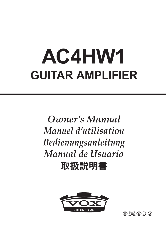# **AC4HW1 GUITAR AMPLIFIER**

*Owner's Manual Manuel d'utilisation Bedienungsanleitung Manual de Usuario* 取扱説明書



 $\bigoplus$  $\bigoplus$  $\bigoplus$  $\bigotimes$  $\bigoplus$  $\bigoplus$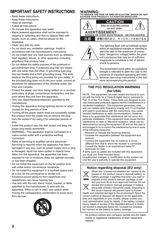### **IMPORTANT SAFETY INSTRUCTIONS**

- Read these instructions.
- Keep these instructions.
- Heed all warnings.
- Follow all instructions.
- Do not use this apparatus near water.
- Mains powered apparatus shall not be exposed to dripping or splashing and that no objects filled with liquids, such as vases, shall be placed on the apparatus.
- Clean only with dry cloth.
- Do not block any ventilation openings. Install in accordance with the manufacturer's instructions.
- Do not install near any heat sources such as radiators, heat registers, stoves, or other apparatus (including amplifiers) that produce heat.
- Do not defeat the safety purpose of the polarized or grounding-type plug. A polarized plug has two blades with one wider than the other. A grounding type plug has two blades and a third grounding prong. The wide blade or the third prong are provided for your safety. If the provided plug does not fit into your outlet, consult an electrician for replacement of the obsolete outlet. (for USA and Canada)
- Protect the power cord from being walked on or pinched particularly at plugs, convenience receptacles, and the point where they exit from the apparatus.
- Only use attachments/accessories specified by the manufacturer.
- Unplug this apparatus during lightning storms or when unused for long periods of time.
- Turning off the power switch does not completely isolate this product from the power line so remove the plug from the socket if not using it for extended periods of time.
- Install this product near the wall socket and keep the power plug easily accessible.
- WARNING—This apparatus shall be connected to a mains socket outlet with a protective earthing connection.
- Refer all servicing to qualified service personnel. Servicing is required when the apparatus has been damaged in any way, such as power-supply cord or plug is damaged, liquid has been spilled or objects have fallen into the apparatus, the apparatus has been exposed to rain or moisture, does not operate normally, or has been dropped.
- Do not install this equipment on the far position from wall outlet and/or convenience receptacle.
- Do not install this equipment in a confined space such as a box for the conveyance or similar unit.
- Excessive sound pressure from earphones and headphones can cause hearing loss.
- Use only with the cart, stand, tripod, bracket, or table specified by the manufacturer, or sold with the apparatus. When a cart is used, use caution when moving the cart/apparatus combination to avoid injury from tip-over.



### **WARNING:**

TO REDUCE THE RISK OF FIRE OR ELECTRIC SHOCK DO NOT EXPOSE THIS PRODUCT TO RAIN OR MOISTURE.





The lightning flash with arrowhead symbol within an equilateral triangle, is intended to alert the user to the presence of uninsulated "dangerous voltage" within the product's enclosure that may be of sufficient magnitude to constitute a risk of electric shock to persons.



The exclamation point within an equilateral triangle is intended to alert the user to the presence of important operating and maintenance (servicing) instructions in the literature accompanying the product.

### **THE FCC REGULATION WARNING (for USA)**

NOTE: This equipment has been tested and found to comply with the limits for a Class B digital device, pursuant to Part 15 of the FCC Rules. These limits are designed to provide reasonable protection against harmful interference in a residential installation. This equipment generates, uses, and can radiate radio frequency energy and, if not installed and used in accordance with the instructions, may cause harmful interference to radio communications. However, there is no quarantee that interference will not occur in a particular installation. If this equipment does cause harmful interference to radio or television reception, which can be determined by turning the equipment off and on, the user is encouraged to try to correct the interference by one or more of the following measures:

- Reorient or relocate the receiving antenna.
- Increase the separation between the equipment and receiver.
- Connect the equipment into an outlet on a circuit different from that to which the receiver is connected.
- Consult the dealer or an experienced radio/TV technician for help.

If items such as cables are included with this equipment, you must use those included items.

Unauthorized changes or modification to this system can void the user's authority to operate this equipment.

### **Notice regarding disposal (EU only)**



When this "crossed-out wheeled bin" symbol is displayed on the product, owner's manual, battery, or battery package, it signifies that when you wish to dispose of this product, manual, package or battery you must do so in an approved manner. Do not discard this product, manual, package or battery along with ordinary household waste. Disposing in

the correct manner will prevent harm to human health and potential damage to the environment. Since the correct method of disposal will depend on the applicable laws and regulations in your locality, please contact your local administrative body for details. If the battery contains heavy metals in excess of the regulated amount, a chemical symbol is displayed below the "crossed-out wheeled bin" symbol on the battery or battery package.

All product names and company names are the trademarks or registered trademarks of their respective owners.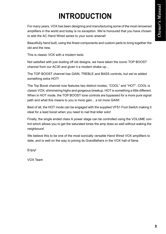# **INTRODUCTION**

For many years, VOX has been designing and manufacturing some of the most renowned amplifiers in the world and today is no exception. We're honoured that you have chosen to add the AC Hand Wired series to your sonic arsenal!

Beautifully hand built, using the finest components and custom parts to bring together the old and the new.

This is classic VOX with a modern twist.

Not satisfied with just dusting off old designs, we have taken the iconic TOP BOOST channel from our AC30 and given it a modern shake up…

The TOP BOOST channel has GAIN, TREBLE and BASS controls, but we've added something extra HOT!

The Top Boost channel now features two distinct modes, "COOL" and "HOT". COOL is classic VOX; shimmering highs and gorgeous breakup. HOT is something a little different. When in HOT mode, the TOP BOOST tone controls are bypassed for a more pure signal path and what this means to you is more gain... a lot more GAIN!

Best of all, the HOT mode can be engaged with the supplied VFS1 Foot Switch making it ideal for a lead boost when you need to nail that killer solo!

Finally, the single ended class A power stage can be controlled using the VOLUME control which allows you to get the saturated tones the amp does so well without waking the neighbours!

We believe this to be one of the most sonically versatile Hand Wired VOX amplifiers to date, and is well on the way to joining its Grandfathers in the VOX hall of fame.

Enjoy!

VOX Team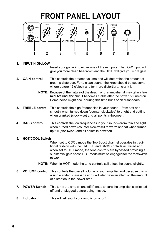# **FRONT PANEL LAYOUT**



### **1. INPUT HIGH/LOW**

Insert your guitar into either one of these inputs. The LOW input will give you more clean headroom and the HIGH will give you more gain.

- **2. GAIN control** This controls the preamp volume and will determine the amount of preamp distortion. For a clean sound, the knob should be set somewhere before 12 o'clock and for more distortion... crank it!
	- **NOTE:** Because of the nature of the design of this amplifier, it may take a few minutes until the circuit becomes stable after the power is turned on. Some noise might occur during this time but it soon disappears.
- **3. TREBLE control** This controls the high frequencies in your sound—from soft and smooth when turned down (counter clockwise) to bright and cutting when cranked (clockwise) and all points in-between.
- **4. BASS control** This controls the low frequencies in your sound—from thin and light when turned down (counter clockwise) to warm and fat when turned up full (clockwise) and all points in-between.

### **5. HOT/COOL Switch**

When set to COOL mode the Top Boost channel operates in traditional fashion with the TREBLE and BASS controls activated and when set to HOT mode, the tone controls are bypassed providing a substantial gain boost. HOT mode must be engaged for the footswitch to work.

- **NOTE:** When in HOT mode the tone controls still affect the sound slightly.
- **6. VOLUME control** This controls the overall volume of your amplifier and because this is a single ended, class A design it will also have an effect on the amount of distortion in the power amp.
- **7. POWER Switch** This turns the amp on and off! Please ensure the amplifier is switched off and unplugged before being moved.
- **8. Indicator** This will tell you if your amp is on or off!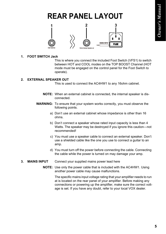### **REAR PANEL LAYOUT**



**1. FOOT SWITCH Jack**

This is where you connect the included Foot Switch (VFS1) to switch between HOT and COOL modes on the TOP BOOST Channel (HOT mode must be engaged on the control panel for the Foot Switch to operate).

### **2. EXTERNAL SPEAKER OUT**

This is used to connect the AC4HW1 to any 16ohm cabinet.

- **NOTE:** When an external cabinet is connected, the internal speaker is disconnected.
- **WARNING:** To ensure that your system works correctly, you must observe the following points.
	- a) Don't use an external cabinet whose impedance is other than 16 ohms.
	- b) Don't connect a speaker whose rated input capacity is less than 4 Watts. The speaker may be destroyed if you ignore this caution—not recommended!
	- c) You must use a speaker cable to connect an external speaker. Don't use a shielded cable like the one you use to connect a guitar to an amp.
	- d) You must turn off the power before connecting the cable. Connecting the cable while the power is turned on may damage your amp.
- **3. MAINS INPUT** Connect your supplied mains power lead here
	- **NOTE:** Use only the power cable that is included with the AC4HW1. Using another power cable may cause malfunctions.

The specific mains input voltage rating that your amplifier needs to run at is located on the rear panel of your amplifier. Before making any connections or powering up the amplifier, make sure the correct voltage is set. If you have any doubt, refer to your local VOX dealer.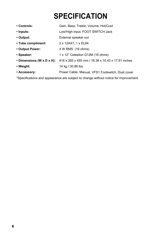# **SPECIFICATION**

| • Controls:               | Gain, Bass, Treble, Volume, Hot/Cool              |  |  |  |
|---------------------------|---------------------------------------------------|--|--|--|
| • Inputs:                 | Low/High input, FOOT SWITCH Jack                  |  |  |  |
| $\cdot$ Output:           | External speaker out                              |  |  |  |
| • Tube compliment:        | 2 x 12AX7, 1 x EL84                               |  |  |  |
| • Output Power:           | 4 W RMS (16 ohms)                                 |  |  |  |
| • Speaker:                | 1 x 12" Celestion G12M (16 ohms)                  |  |  |  |
| • Dimensions (W x D x H): | 416 x 265 x 455 mm / 16.38 x 10.43 x 17.91 inches |  |  |  |
| • Weight:                 | 14 kg / 30.86 lbs.                                |  |  |  |
| • Accessory:              | Power Cable, Manual, VFS1 Footswitch, Dust cover  |  |  |  |

\*Specifications and appearance are subject to change without notice for improvement.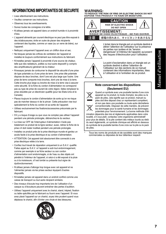### **NFORMATIONS IMPORTANTES DE SECURITE**

- Lisez attentivement ces instructions.
- Veuillez conserver ces instructions.
- Observez tous les avertissements.
- Suivez toutes les consignes à la lettre.
- N'utilisez jamais cet appareil dans un endroit humide ni à proximité d'eau.
- L'appareil alimenté par courant électrique ne peut pas être exposé à des éclaboussures; évite en outre de placer des récipients contenant des liquides, comme un vase (ou un verre de bière), sur l'appareil.
- Nettoyez uniquement l'appareil avec un chiffon doux et sec.
- Ne bloquez jamais les orifices de ventilation de l'appareil et installez-le toujours conformément aux instructions du fabricant.
- N'installez jamais l'appareil à proximité d'une source de chaleur, telle que des radiateurs, poêles ou tout autre dispositif (y compris des amplificateurs) générant de la chaleur.
- N'essayez jamais de contourner le dispositif de sécurité d'une prise de type polarisée ou d'une prise de terre. Une prise dite polarisée dispose de deux broches, dont l'une est plus large que l'autre. Une prise de terre comporte trois broches, dont une de mise à la terre. Cette broche plus large ou broche de mise à la terre vise à assurer votre sécurité. Si la fiche du cordon d'alimentation ne correspond pas au type de prise de courant de votre région, faites remplacer la prise obsolète par un électricien qualifié (pour les Etats-Unis et le Canada).
- Placez toujours le cordon d'alimentation de sorte qu'on ne risque pas de marcher dessus ni de le pincer. Cette précaution vise tout spécialement la fiche du cordon et sa sortie de l'appareil.
- Utilisez exclusivement les fixations/accessoires préconisés par le fabricant.
- S'il y a risque d'orage ou que vous ne comptez pas utiliser l'appareil pendant une période prolongée, débranchez-le du secteur.
- La mise sur OFF de l'interrupteur d'alimentation n'isole pas totalement ce produit de la ligne secteur; aussi, retirez la fiche de la prise s'il doit rester inutilisé pendant une période prolongée.
- Installez ce produit près de la prise électrique murale et gardez un accès facile à la prise électrique et au cordon d'alimentation.
- ATTENTION: Cet appareil doit absolument être connecté à une prise électrique reliée à la terre.
- Confiez tout travail de réparation uniquement à un S.A.V. qualifié. Faites appel au S.A.V. si l'appareil a subi tout endommagement, comme par exemple si sa fiche secteur ou son cordon d'alimentation sont endommagés, si de l'eau ou des objets ont pénétré à l'intérieur de l'appareil, si celui-ci a été exposé à la pluie ou à la moisissure, s'il est tombé ou présente tout signe de dysfonctionnement.
- N'utilisez jamais d'allonge trop longue avec cet appareil et ne l'alimentez jamais via les prises secteur équipant d'autres dispositifs.
- N'installez jamais cet appareil dans un endroit confiné comme une caisse de transport ou tout autre récipient similaire.
- Des niveaux d'écoute trop importants lors de l'utilisation d'un casque ou d'écouteurs peuvent entraîner des pertes d'audition.
- Utilisez l'appareil uniquement avec le chariot, stand, trépied, fixation ou table spécifiés par le fabricant ou fourni avec l'appareil. Si vous avez placé l'appareil sur un chariot, soyez très prudent quand vous déplacez le chariot, afin d'éviter une chute et des blessures.



### **WARNING:**

TO REDUCE THE RISK OF FIRE OR ELECTRIC SHOCK DO NOT **EXPOSE THIS PRODUCT TO RAIN OR MOISTURE.** 





L'éclair dans le triangle est un symbole destiné à attirer l'attention de l'utilisateur sur la présence de parties non isolées et de "tension dangereuse" à l'intérieur de l'appareil, qui posent des risques d'électrocution pour l'utilisateur.



.

Le point d'exclamation dans un triangle est un symbole destiné à attirer l'attention de l'utilisateur sur des sections de ce manuel contenant des informations importantes, liées à l'utilisation et à l'entretien de ce produit.

### **Note concernant les dispositions (Seulement EU)**



Quand un symbole avec une poubelle barrée d'une croix apparait sur le produit, le mode d'emploi, les piles ou le pack de piles, cela signifie que ce produit, manuel ou piles doit être déposé chez un représentant compétent,

et non pas dans une poubelle ou toute autre déchetterie conventionnelle. Disposer de cette manière, de prévenir les dommages pour la santé humaine et les dommages

potentiels pour l'environnement. La bonne méthode d'élimination dépendra des lois et règlements applicables dans votre localité, s'il vous plaît, contactez votre organisme administratif pour plus de détails. Si la pile contient des métaux lourds au-delà du seuil réglementé, un symbole chimique est affiché en dessous du symbole de la poubelle barrée d'une croix sur la pile ou le pack de piles.

Tous les noms de produits et de sociétés sont des marques commerciales ou déposées de leur détenteur respecti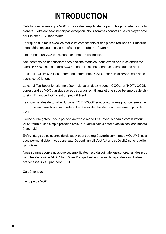# **INTRODUCTION**

Cela fait des années que VOX propose des amplificateurs parmi les plus célèbres de la planète. Cette année-ci ne fait pas exception. Nous sommes honorés que vous ayez opté pour la série AC Hand Wired!

Fabriquée à la main avec les meilleurs composants et des pièces réalisées sur mesure, cette série conjugue passé et présent pour préparer l'avenir:

elle propose un VOX classique d'une modernité inédite.

Non contents de dépoussiérer nos anciens modèles, nous avons pris le célébrissime canal TOP BOOST de notre AC30 et nous lui avons donné un sacré coup de neuf…

Le canal TOP BOOST est pourvu de commandes GAIN, TREBLE et BASS mais nous avons corsé le tout!

Le canal Top Boost fonctionne désormais selon deux modes: "COOL" et "HOT". COOL correspond au VOX classique avec des aigus scintillants et une superbe amorce de distorsion. En mode HOT, c'est un peu différent.

Les commandes de tonalité du canal TOP BOOST sont contournées pour conserver le flux du signal dans toute sa pureté et bénéficier de plus de gain… nettement plus de GAIN!

Cerise sur le gâteau, vous pouvez activer le mode HOT avec la pédale commutateur VFS1 fournie: une simple pression et vous jouez un solo d'enfer avec un son lead boosté à souhait!

Enfin, l'étage de puissance de classe A peut être réglé avec la commande VOLUME: cela vous permet d'obtenir ces sons saturés dont l'ampli s'est fait une spécialité sans réveiller les voisins!

Nous sommes convaincus que cet amplificateur est, du point de vue sonore, l'un des plus flexibles de la série VOX "Hand Wired" et qu'il est en passe de rejoindre ses illustres prédécesseurs au panthéon VOX.

Ça déménage

L'équipe de VOX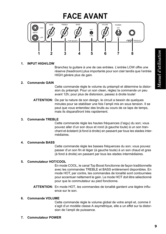### **FACE AVANT**



### **1. INPUT HIGH/LOW**

Branchez la guitare à une de ces entrées. L'entrée LOW offre une réserve (headroom) plus importante pour son clair tandis que l'entrée HIGH génère plus de gain.

### **2. Commande GAIN**

Cette commande règle le volume du préampli et détermine la distorsion du préampli. Pour un son clean, réglez la commande un peu avant 12h; pour plus de distorsion, passez à droite toute!

**ATTENTION:** De par la nature de son design, le circuit a besoin de quelques minutes pour se stabiliser une fois l'ampli mis en sous tension. Il se peut que vous entendiez des bruits au cours de ce laps de temps, mais ils disparaîtront très rapidement.

### **3. Commande TREBLE**

Cette commande règle les hautes fréquences (l'aigu) du son; vous pouvez aller d'un son doux et rond (à gauche toute) à un son tranchant et éclatant (à fond à droite) en passant par tous les stades intermédiaires.

### **4. Commande BASS**

Cette commande règle les basses fréquences du son; vous pouvez passer d'un son fin et léger (à gauche toute) à un son chaud et gras (à fond à droite) en passant par tous les stades intermédiaires.

### **5. Commutateur HOT/COOL**

En mode COOL, le canal Top Boost fonctionne de façon traditionnelle avec les commandes TREBLE et BASS entièrement disponibles. En mode HOT, par contre, les commandes de tonalité sont contournées pour accentuer nettement le gain. Le mode HOT doit être sélectionné pour que le commutateur au pied fonctionne.

**ATTENTION:** En mode HOT, les commandes de tonalité gardent une légère influence sur le son.

### **6. Commande VOLUME**

Cette commande règle le volume global de votre ampli et, comme il s'agit d'un modèle classe A asymétrique, elle a un effet sur la distorsion de l'ampli de puissance.

**7. Commutateur POWER**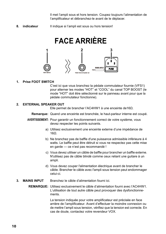Il met l'ampli sous et hors tension. Coupez toujours l'alimentation de l'amplificateur et débranchez-le avant de le déplacer.

**8. indicateur** Il indique si l'ampli est sous ou hors tension!



### **1. Prise FOOT SWITCH**

C'est ici que vous branchez la pédale commutateur fournie (VFS1) pour alterner les modes "HOT" et "COOL" du canal TOP BOOST (le mode "HOT" doit être sélectionné sur le panneau avant pour que la pédale commutateur fonctionne).

### **2. EXTERNAL SPEAKER OUT**

Elle permet de brancher l'AC4HW1 à une enceinte de16Ω.

**Remarque:** Quand une enceinte est branchée, le haut-parleur interne est coupé.

- **AVERTISSEMENT:** Pour garantir un fonctionnement correct de votre système, vous devez respecter les points suivants.
	- a) Utilisez exclusivement une enceinte externe d'une impédance de 16Ω.
	- b) Ne branchez pas de baffle d'une puissance admissible inférieure à 4 watts. Le baffle peut être détruit si vous ne respectez pas cette mise en garde — ce n'est pas recommandé !
	- c) Vous devez utiliser un câble de baffle pour brancher un baffle externe. N'utilisez pas de câble blindé comme ceux reliant une guitare à un ampli.
	- d) Vous devez couper l'alimentation électrique avant de brancher le câble. Brancher le câble avec l'ampli sous tension peut endommager celui-ci.
- **3. MAINS INPUT** Branchez le câble d'alimentation fourni ici.
	- **REMARQUE:** Utilisez exclusivement le câble d'alimentation fourni avec l'AC4HW1. L'utilisation de tout autre câble peut provoquer des dysfonctionnements.

La tension indiquée pour votre amplificateur est précisée en face arrière de l'amplificateur. Avant d'effectuer la moindre connexion ou de mettre l'ampli sous tension, vérifiez que la tension est correcte. En cas de doute, contactez votre revendeur VOX.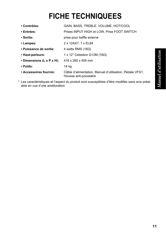# Manuel d'utilisation *Manuel d'utilisation*

# **FICHE TECHNIQUEES**

| • Contrôles:              | GAIN, BASS, TREBLE, VOLUME, HOT/COOL                                              |  |  |  |
|---------------------------|-----------------------------------------------------------------------------------|--|--|--|
| ∙ Entrées:                | Prises INPUT HIGH et LOW, Prise FOOT SWITCH                                       |  |  |  |
| • Sortie:                 | prise pour baffle externe                                                         |  |  |  |
| • Lampes:                 | 2 x 12AX7, 1 x EL84                                                               |  |  |  |
| • Puissance de sortie:    | 4 watts RMS (16 $\Omega$ )                                                        |  |  |  |
| • Haut-parleurs:          | 1 x 12" Celestion G12M (16 $\Omega$ )                                             |  |  |  |
| • Dimensions (L x P x H): | 416 x 265 x 455 mm                                                                |  |  |  |
| • Poids:                  | 14 kg                                                                             |  |  |  |
| • Accessoires fournis:    | Câble d'alimentation, Manuel d'utilisation, Pédale VFS1,<br>Housse anti-poussière |  |  |  |

\* Les caractéristiques et l'aspect du produit sont susceptibles d'être modifiés sans avis préalable en vue d'une amélioration.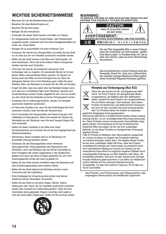### **WICHTIGE SICHERHEITSHINWEISE**

- Bitte lesen Sie sich alle Bedienhinweise durch.
- Bewahren Sie diese Bedienhinweise auf.
- Beachten Sie alle Warnungen.
- Befolgen Sie alle Instruktionen.
- Verwenden Sie dieses Gerät niemals in der Nähe von Wasser.
- Ein netzgespeistes Gerät darf niemals Regen- oder Wassertropfen ausgesetzt werden. Außerdem darf man keine Flüssigkeitsbehälter wie Vasen usw. darauf stellen.
- Reinigen Sie es ausschließlich mit einem trockenen Tuch.
- Versperren Sie niemals die Lüftungsschlitze und stellen Sie das Gerät nur an Orten auf, die vom Hersteller ausdrücklich empfohlen werden.
- Stellen Sie das Gerät niemals in die Nähe einer Wärmequelle, z.B. eines Heizkörpers, Ofens oder eines anderen Wärme erzeugenden Gerätes (darunter auch Endstufen).
- Versuchen Sie niemals, die polarisierte Leitung bzw. Erde hochzulegen oder zu umgehen. Ein polarisierter Stecker ist mit zwei flachen Stiften unterschiedlicher Breite versehen. Ein Stecker mit Erdung weist zwei Stifte und eine Erdungsbuchse auf. Wenn der beiliegende Stecker nicht in Ihre Steckdose passt, sollten Sie einen Elektriker bitten, die Steckdose zu erneuern (für die USA und Kanada).
- Sorgen Sie dafür, dass man weder über das Netzkabel stolpern kann, noch dass es in unmittelbarer Nähe einer Steckdose, darunter auch Zusatzsteckdosen anderer Geräte, abgeklemmt wird. Auch am Austritt aus dem Gerät darf das Netzkabel auf keinen Fall gequetscht werden.
- Verwenden Sie nur Halterungen/Zubehör, die/das vom Hersteller ausdrücklich empfohlen werden/wird.
- Im Falle eines Gewitters bzw. wenn Sie das Gerät längere Zeit nicht verwenden möchten, lösen Sie bitte den Netzanschluss.
- Durch Ausschalten des Hauptschalters wird dieses Erzeugnis nicht vollständig vom Netz getrennt. Ziehen Sie deshalb den Stecker des Netzkabels aus der Steckdose, wenn Sie das Erzeugnis längere Zeit nicht verwenden.
- Stellen Sie diesen Verstärker in der Nähe einer Wand Schutzkontaktdose auf und achten Sie auf die freie Zugänglichkeit des Netzanschlusskabels.
- Warnhinweis: Dieser Verstärker darf nur an Steckdosen mit Schutzleiter (Erdung) betrieben werden.
- Überlassen Sie alle Wartungsarbeiten einem erfahrenen Wartungstechniker. Wartungsarbeiten oder Reparaturen sind erforderlich, wenn das Netzkabel oder der Stecker beschädigt ist, wenn Flüssigkeit oder andere Gegenstände in das Geräteinnere gefallen sind, wenn das Gerät im Regen gestanden hat, sich nicht erwartungsgemäß verhält oder wenn es gefallen ist.
- Stellen Sie das Gerät niemals unmittelbar neben die Steckdose und/ oder Erweiterungssteckdose eines anderen Geräts.
- Stellen Sie das Gerät während des Betriebes niemals in einen Türschrank oder den Lieferkarton.
- Hohe Schallpegel bei Verwendung eines großen oder kleinen Kopfhörers können Hörschäden verursachen.
- Stellen Sie das Gerät nur auf einen Wagen, Ständer, Stative, Halterungen oder Tische, die vom Hersteller ausdrücklich empfohlen werden oder eventuell zum Lieferumfang gehören. Seien Sie beim Verschieben eines geeigneten Wagens vorsichtig, damit weder er, noch das Gerät selbst umkippt bzw. hinfällt und Sie eventuell verletzt.



### **WARNING:**

TO REDUCE THE RISK OF FIRE OR ELECTRIC SHOCK DO NOT **EXPOSE THIS PRODUCT TO RAIN OR MOISTURE.** 





Der als Pfeil dargestellte Blitz in einem Dreieck weist den Anwender auf nicht isolierte, "gefährliche Spannungen" im Geräteinneren hin, die so stark sein können, dass sie einen Stromschlag verursachen..



Das Ausrufezeichen in einem Dreieck weist den Anwender darauf hin, dass zum Lieferumfang des Gerätes wichtige Bedienund Wartungshinweise (eventuell Reparaturhinweise) gehören.

### **Hinweis zur Entsorgung (Nur EU)**



Wenn Sie das Symbol mit der "durchgekreuzten Mülltonne" auf Ihrem Produkt, der dazugehörigen Bedienungsanleitung, der Batterie oder dem Batteriefach sehen, müssen Sie das Produkt in der vorgeschriebenen Art und Weise entsorgen. Dies bedeutet, dass dieses Produkt mit elektrischen und elektronischen Komponen-

ten nicht mit dem normalen Hausmüll entsorgt werden darf. Für Produkte dieser Art existiert ein separates, gesetzlich festgelegtes Entsorgungssystem.

Gebrauchte elektrische und elektronische Geräte müssen separat entsorgt werden, um ein umweltgerechtes Recycling sicherzustellen. Diese Produkte müssen bei benannten Sammelstellen abgegeben werden. Die Entsorgung ist für den Endverbraucher kostenfrei! Bitte erkundigen sie sich bei ihrer zuständigen Behörde, wo sie diese Produkte zur fachgerechten Entsorgung abgeben können.

Falls ihr Produkt mit Batterien oder Akkumulatoren ausgerüstet ist, müssen sie diese vor Abgabe des Produktes entfernen und separat entsorgen (siehe oben). Die Abgabe dieses Produktes bei einer zuständigen Stelle hilft ihnen, dass das Produkt umweltgerecht entsorgt wird. Damit leisten sie persönlich einen nicht unerheblichen Beitrag zum Schutz der Umwelt und der menschlichen Gesundheit vor möglichen negativen Effekten durch unsachgemäße Entsorgung von Müll. Batterien oder Akkus, die Schadstoffe enthalten, sind auch mit dem Symbol einer durchgekreuzten Mülltonne gekennzeichnet. In der Nähe zum Mülltonnensymbol befindet sich die chemische Bezeichnung des Schadstoffes. Cd oder NiCd steht für Cadmium, Pb für Blei und Hg für Quecksilber.

Alle Produkt- und Firmennamen sind Warenzeichen oder eingetragene Warenzeichen der betreffenden Eigentümer.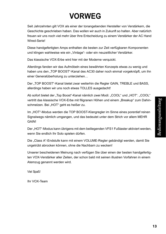### **VORWEG**

Seit Jahrzehnten gilt VOX als einer der tonangebenden Hersteller von Verstärkern, die Geschichte geschrieben haben. Das wollen wir auch in Zukunft so halten. Aber natürlich freuen wir uns noch viel mehr über Ihre Entscheidung zu einem Verstärker der AC Hand Wired-Serie!

Diese handgefertigten Amps enthalten die besten zur Zeit verfügbaren Komponenten und klingen wahlweise wie ein "Vintage"- oder ein neuzeitlicher Verstärker.

Das klassische VOX-Erbe wird hier mit der Moderne verquickt.

Allerdings fanden wir das Aufmöbeln eines bewährten Konzepts etwas zu wenig und haben uns den "TOP BOOST"-Kanal des AC30 daher noch einmal vorgeknöpft, um ihn einer Generalüberholung zu unterziehen…

Der "TOP BOOST"-Kanal bietet zwar weiterhin die Regler GAIN, TREBLE und BASS, allerdings haben wir uns noch etwas TOLLES ausgedacht!

Ab sofort bietet der "Top Boost"-Kanal nämlich zwei Modi: "COOL" und "HOT". "COOL" vertritt das klassische VOX-Erbe mit filigranen Höhen und einem "Breakup" zum Dahinschmelzen. Bei "HOT" geht es heißer zu.

Im "HOT"-Modus werden die TOP BOOST-Klangregler im Sinne eines porentief reinen Signalwegs nämlich umgangen, und das bedeutet unter dem Strich vor allem MEHR GAIN!

Der "HOT"-Modus kann übrigens mit dem beiliegenden VFS1 Fußtaster aktiviert werden, wenn Sie endlich Ihr Solo spielen dürfen.

Die "Class A"-Endstufe kann mit einem VOLUME-Regler gebändigt werden, damit Sie ungetrübt abrocken können, ohne die Nachbarn zu wecken!

Unserer bescheidenen Meinung nach verfügen Sie über einen der besten handgefertigten VOX-Verstärker aller Zeiten, der schon bald mit seinen illustren Vorfahren in einem Atemzug genannt werden wird.

Viel Spaß!

Ihr VOX-Team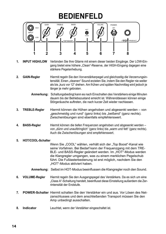### **BEDIENFELD**



- **1. INPUT HIGH/LOW** Verbinden Sie Ihre Gitarre mit einem dieser beiden Eingänge. Der LOW-Eingang bietet eine höhere "Clean"-Reserve, der HIGH-Eingang dagegen eine stärkere Pegelanhebung.
- **2. GAIN-Regler** Hiermit regeln Sie den Vorverstärkerpegel und gleichzeitig die Verzerrungsintensität. Einen "cleanen" Sound erzielen Sie, indem Sie den Regler nie weiter als bis "kurz vor 12" drehen. Am frühen und späten Nachmittag wird jedoch je länger je mehr gebraten.
	- **Anmerkung:** Schaltungsbedingt kann es nach Einschalten des Verstärkers einige Minuten dauern bis der Betriebszustand erreicht ist. Währenddessen können einige Störgeräusche auftreten, die nach kurzer Zeit wieder nachlassen.
- **3. TREBLE-Regler** Hiermit können die Höhen angehoben und abgesenkt werden von "geschmeidig und rund" (ganz links) bis "beißend" (ganz rechts). Zwischenlösungen sind ebenfalls empfehlenswert.
- **4. BASS-Regler** Hiermit können die tiefen Frequenzen angehoben und abgesenkt werden von "dünn und unaufdringlich" (ganz links) bis "warm und fett" (ganz rechts). Auch die Zwischenlösungen sind empfehlenswert.

### **5. HOT/COOL-Schalter**

Wenn Sie "COOL" wählen, verhält sich der "Top Boost"-Kanal wie seine Vorfahren. Bei Bedarf kann der Frequenzgang mit dem TRE-BLE- und BASS-Regler geändert werden. Im "HOT"-Modus werden die Klangregler umgangen, was zu einem merklichen Pegelschub führt. Die Fußtasterbedienung ist erst möglich, nachdem Sie den "HOT"-Modus aktiviert haben.

- **Anmerkung:** Selbst im HOT-Modus beeinflussen die Klangregler noch den Sound.
- **6. VOLUME-Regler** Hiermit regeln Sie den Ausgangspegel des Verstärkers. Da es sich um eine "Class A"-Schaltung handelt, beeinflusst diese Einstellung außerdem die Zerrintensität der Endstufe.
- **7. POWER-Schalter** Hiermit schalten Sie den Verstärker ein und aus. Vor Lösen des Netzanschlusses und dem anschließenden Transport müssen Sie den Amp unbedingt ausschalten.
- **8. Indicator** Leuchtet, wenn der Verstärker eingeschaltet ist.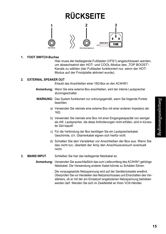# **RÜCKSEITE**



### **1. FOOT SWITCH-Buchse**

Hier muss der beiliegende Fußtaster (VFS1) angeschlossen werden, um abwechselnd den HOT- und COOL-Modus des "TOP BOOST"-Kanals zu wählen (der Fußtaster funktioniert nur, wenn der HOT-Modus auf der Frontplatte aktiviert wurde).

### **2. EXTERNAL SPEAKER OUT**

Erlaubt das Anschließen einer 16Ω-Box an den AC4HW1.

- **Anmerkung:** Wenn Sie eine externe Box anschließen, wird der interne Lautsprecher stummgeschaltet.
- **WARNUNG:** Das System funktioniert nur ordnungsgemäß, wenn Sie folgende Punkte beachten.
	- a) Verwenden Sie niemals eine externe Box mit einer anderen Impedanz als 16Ω.
	- b) Verwenden Sie niemals eine Box mit einer Eingangskapazität von weniger als 4W. Lautsprecher, die diese Anforderungen nicht erfüllen, sind in kürzester Zeit kaputt!
	- c) Für die Verbindung der Box benötigen Sie ein Lautsprecherkabel. Geschirmte, d.h. Gitarrenkabel eignen sich hierfür nicht.
	- d) Schalten Sie den Verstärker vor Anschließen der Box aus. Wenn Sie das nicht tun, überlebt der Amp den Anschlussversuch eventuell nicht.

### **3. MAINS INPUT** Schließen Sie hier das beiliegende Netzkabel an.

**Anmerkung:** Verwenden Sie ausschließlich das zum Lieferumfang des AC4HW1 gehörige Netzkabel. Die Verwendung anderer Kabel könnte zu Schäden führen.

> Die vorausgesetzte Netzspannung wird auf der Geräterückseite erwähnt. Überprüfen Sie vor Herstellen des Netzanschlusses und Einschalten des Verstärkers, ob er mit der am Einsatzort angebotenen Netzspannung betrieben werden darf. Wenden Sie sich im Zweifelsfall an Ihren VOX-Händler.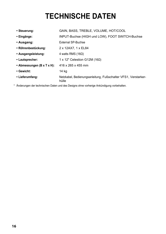# **TECHNISCHE DATEN**

| GAIN, BASS, TREBLE, VOLUME, HOT/COOL                                   |
|------------------------------------------------------------------------|
| INPUT-Buchse (HIGH und LOW), FOOT SWITCH-Buchse                        |
| <b>External SP-Buchse</b>                                              |
| 2 x 12AX7, 1 x EL84                                                    |
| 4 watts RMS (16 $\Omega$ )                                             |
| 1 x 12" Celestion G12M (16 $\Omega$ )                                  |
| 416 x 265 x 455 mm                                                     |
| 14 kg                                                                  |
| Netzkabel, Bedienungsanleitung, Fußschalter VFS1, Verstarker-<br>hülle |
|                                                                        |

\* Änderungen der technischen Daten und des Designs ohne vorherige Ankündigung vorbehalten.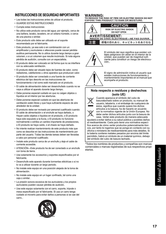### **INSTRUCCIONES DE SEGURIDAD IMPORTANTES**

- Lea todas las instrucciones antes de utilizar el producto.
- GUARDE ESTAS INSTRUCCIONES
- Cumpla estas instrucciones
- No utilice este producto cerca del agua; por ejemplo, cerca de una bañera, lavabo, lavadero, en un sótano húmedo, o cerca de una piscina o similar.
- Este producto sólo debe ser utilizado en el soporte recomendado por el fabricante.
- Este producto, ya sea solo o en combinación con un amplificador y auriculares o altavoces puede causar pérdida auditiva permanente. No lo utilice durante largo tiempo a gran volumen, o a un volumen que resulte incómodo. Si nota alguna pérdida de audición, consulte con un especialista.
- El producto debe ser colocado en tal forma que no se interfiera con su adecuada ventilación.
- El producto debe ser situado lejos de fuentes de calor, como radiadores, calefactores u otros aparatos que produzcan calor.
- El producto debe ser conectado a una fuente de corriente eléctrica del tipo descrito en las instrucciones de funcionamiento o tal como esté marcado en el producto.
- El cable de alimentación debe ser desenchufado cuando no se vaya a utilizar el aparato durante largo tiempo.
- Debe ponerse especial cuidado en que no caigan objetos o líquidos en el interior por las aberturas.
- Debe ponerse especial cuidado en que las aberturas de ventilación estén libres y que haya suficiente espacio de aire alrededor de la unidad.
- El producto debe ser revisado por personal cualificado cuando: El cable de alimentación o el enchufe se haya dañado, o Hayan caído objetos o líquidos en el producto, o El producto haya sido expuesto a la lluvia, o El producto no funcione normalmente o exhiba un cambio importante de prestaciones, o El producto se haya caído, o el chasis se haya dañado.
- No intente realizar mantenimiento de este producto más que como se describe en las instrucciones de mantenimiento por parte del usuario. Todas las demás tareas deben ser llevadas a cabo por personal cualificado.
- Instale este producto cerca de un enchufe y deje el cable de corriente accesible.
- ATENCIÓN—Este producto ha de ser conectado a un enchufe con toma de tierra.
- Use solamente los accesorios y soportes especificados por el fabricante.
- Desenchufe este aparato durante tormentas eléctricas o si no lo va a utilizar durante un largo periodo.
- No instale este equipo en una posición alejada de la toma de alimentación.
- No instale este equipo en un lugar confinado, tal como una caja o similar.
- La presión sonora excesiva de los auriculares y los propios auriculares pueden causar pérdida de audición.
- Use este equipo solamente con el carro, soporte, trípode o mesa especificado por el fabricante. Si usa un carro tenga cuidado al moverlo para evitar daños a personas si se cae del carro..



### **WARNING:**

TO REDUCE THE RISK OF FIRE OR ELECTRIC SHOCK DO NOT **EXPOSE THIS PRODUCT TO RAIN OR MOISTURE.** 





El símbolo del rayo significa que existen voltajes peligrosos sin aislar en el interior de la unidad, que pueden ser de magnitud suficiente para constituir un riesgo de electrocución..



El signo de admiración indica al usuario que existen instrucciones de funcionamiento y mantenimiento importantes en el manual que acompaña al producto.

### **Nota respecto a residuos y deshechos (solo UE)**



Cuando aparezca el símbolo del cubo de basuratachado sobre un producto, su manual de usuario, labatería, o el embalaje de cualquiera de éstos, significa que cuando quiere tire dichos artículos a la basura, ha de hacerlo en acuerdo con la normativa vigente de la Unión Europea. No

debe verter dichos artículos junto con la basura de casa. Verter este producto de manera adecuada

ayudará a evitar daños a su salud pública y posibles daños al medioambiente. Cada país tiene una normativa específica acerca de cómo verter productos potencialmente tóxicos, por tanto le rogamos que se ponga en contacto con su oficina o ministerio de medioambiente para más detalles. Si la batería contiene metales pesados por encima del límite permitido, habrá un símbolo de un material químico, debajo del símbolo del cubo de basura tachado.

\*Todos los nombres de productos y compañías son marcas comerciales o marcas registradas de sus respectivos propietarios.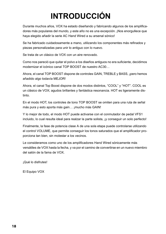# **INTRODUCCIÓN**

Durante muchos años, VOX ha estado diseñando y fabricando algunos de los amplificadores más populares del mundo, y este año no es una excepción. ¡Nos enorgullece que haya elegido añadir la serie AC Hand Wired a su arsenal sónico!

Se ha fabricado cuidadosamente a mano, utilizando los componentes más refinados y piezas personalizadas para unir lo antiguo con lo nuevo.

Se trata de un clásico de VOX con un aire renovado.

Como nos pareció que quitar el polvo a los diseños antiguos no era suficiente, decidimos modernizar el icónico canal TOP BOOST de nuestro AC30…

Ahora, el canal TOP BOOST dispone de controles GAIN, TREBLE y BASS, ¡pero hemos añadido algo todavía MEJOR!

Ahora, el canal Top Boost dispone de dos modos distintos, "COOL" y "HOT". COOL es un clásico de VOX; agudos brillantes y fantástica resonancia. HOT es ligeramente distinto.

En el modo HOT, los controles de tono TOP BOOST se omiten para una ruta de señal más pura y esto aporta más gain… ¡mucho más GAIN!

Y lo mejor de todo, el modo HOT puede activarse con el conmutador de pedal VFS1 incluido, lo cual resulta ideal para realzar la parte solista, ¡y conseguir un solo perfecto!

Finalmente, la fase de potencia clase A de una sola etapa puede controlarse utilizando el control VOLUME, que permite conseguir los tonos saturados que el amplificador proporciona tan bien, sin molestar a los vecinos.

Le consideramos como uno de los amplificadores Hand Wired sónicamente más versátiles de VOX hasta la fecha, y va por el camino de convertirse en un nuevo miembro del salón de la fama de VOX.

¡Qué lo disfrutes!

El Equipo VOX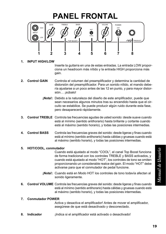### **PANEL FRONTAL**



**1. INPUT HIGH/LOW**

Inserte la guitarra en una de estas entradas. La entrada LOW proporciona un headroom más nítido y la entrada HIGH proporciona más gain.

- **2. Control GAIN** Controla el volumen del preamplificador y determina la cantidad de distorsión del preamplificador. Para un sonido nítido, el mando debería ajustarse a un poco antes de las 12 en punto, y para mayor distorsión... ¡súbalo!
	- **¡Nota!:** Debido a la naturaleza del diseño de este amplificador, puede que sean necesarios algunos minutos tras su encendido hasta que el circuito se estabilice. Se puede producir algún ruido durante esta fase, pero desaparecerá rápidamente.
- **3. Control TREBLE** Controla las frecuencias agudas de usted sonido: desde suave cuando está al mínimo (sentido antihorario) hasta brillante y cortante cuando está al máximo (sentido horario), y todas las posiciones intermedias.
- **4. Control BASS** Controla las frecuencias graves del sonido: desde ligeras y finas cuando está al mínimo (sentido antihorario) hasta cálidas y gruesas cuando está al máximo (sentido horario), y todas las posiciones intermedias.
- **5. HOT/COOL, conmutador**

Cuando está ajustado al modo "COOL", el canal Top Boost funciona de forma tradicional con los controles TREBLE y BASS activados, y cuando está ajustado al modo "HOT", los controles de tono se omiten proporcionando un considerable realce del gain. El modo "HOT" debe activarse para que el conmutador de pedal funcione.

- **¡Nota!:** Cuando está en Modo HOT los controles de tono todavía afectan al sonido ligeramente.
- **6. Control VOLUME** Controla las frecuencias graves del sonido: desde ligeras y finas cuando está al mínimo (sentido antihorario) hasta cálidas y gruesas cuando está al máximo (sentido horario), y todas las posiciones intermedias.

### **7. Conmutador POWER**

Activa y desactiva el amplificador! Antes de mover el amplificador, asegúrese de que está desactivado y desconectado.

8. Indicador **indica si el amplificador está activado** o desactivado!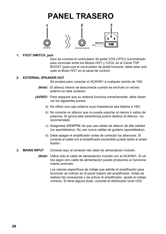### **PANEL TRASERO**



**1. FOOT SWITCH, jack**

Aquí se conecta el conmutador de pedal VOX (VFS1) suministrado para conmutar entre los Modos HOT y COOL en el Canal TOP BOOST (para que el conmutador de pedal funcione, debe estar activado el Modo HOT en el panel de control).

### **2. EXTERNAL SPEAKER OUT**

Se emplea para conectar el AC4HW1 a cualquier recinto de 16Ω.

- **¡Nota!:** El altavoz interno se desconecta cuando se enchufa un recinto externo en este conector.
- **¡AVISO!:** Para asegurar que su sistema funciona correctamente, debe observar los siguientes puntos.
	- a) No utilice una caja externa cuya impedancia sea distinta a 16Ω.
	- b) No conecte un altavoz que no pueda soportar al menos 4 vatios de potencia. Si ignora esta advertencia podría destruir el altavoz –no recomendado.
	- c) Asegúrese SIEMPRE de que usa cables de altavoz de alta calidad (no apantallados). No use nunca cables de guitarra (apantallados).
	- d) Debe apagar el amplificador antes de conectar los altavoces. Si conecta el cable con el amplificador encendido puede dañar el amplificador.
- **3. MAINS INPUT** Conecte aquí el conector del cable de alimentación incluido.
	- **¡Nota!:** Utilice sólo el cable de alimentación incluido con el AC4HW1. Si utiliza algún otro cable de alimentación puede producirse un funcionamiento anómalo.

Los valores específicos de voltaje que admite el amplificador para funcionar se indican en el panel trasero del amplificador. Antes de realizar las conexiones o de activar el amplificador, ajuste el voltaje correcto. Si tiene alguna duda, consulte el distribuidor local VOX.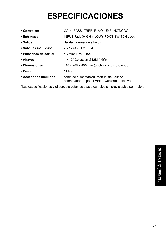# **ESPECIFICACIONES**

| • Controles:            | GAIN, BASS, TREBLE, VOLUME, HOT/COOL                                                      |  |  |  |
|-------------------------|-------------------------------------------------------------------------------------------|--|--|--|
| $\cdot$ Entradas:       | INPUT Jack (HIGH y LOW), FOOT SWITCH Jack                                                 |  |  |  |
| • Salida:               | Salida External de altavoz                                                                |  |  |  |
| • Válvulas incluidas:   | 2 x 12AX7, 1 x EL84                                                                       |  |  |  |
| • Puissance de sortie:  | 4 Vatios RMS (16 $\Omega$ )                                                               |  |  |  |
| • Altavoz:              | 1 x 12" Celestion G12M (16 $\Omega$ )                                                     |  |  |  |
| • Dimensiones:          | $416 \times 265 \times 455$ mm (ancho x alto x profundo)                                  |  |  |  |
| $\cdot$ Peso:           | 14 kg                                                                                     |  |  |  |
| • Accesorios incluidos: | cable de alimentación, Manual de usuario,<br>conmutador de pedal VFS1, Cubierta antipolvo |  |  |  |

\*Las especificaciones y el aspecto están sujetas a cambios sin previo aviso por mejora.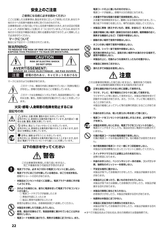### **安全上のご注意**

#### ご使用になる前に必ずお読みください

ここに記載した注意事項は、製品を安全に正しくご使用いただき、あなたや 他の方々への危害や損害を未然に防ぐためのものです。

注意事項は誤った取り扱いで生じる危害や損害の大きさ、または切迫の程度 によって、内容を「警告」、「注意」の 2 つに分けています。これらは、あなたや 他の方々の安全や機器の保全に関わる重要な内容ですので、よく理解した上 で必ずお守りください。

マークについて

製品には下記のマークが表示されています。

### **WARNING:**

TO REDUCE THE RISK OF FIRE OR ELECTRIC SHOCK DO NOT **EXPOSE THIS PRODUCT TO RAIN OR MOISTURE.** 



マークには次のような意味があります。



このマークは、機器の内部に絶縁されていない「危険な電圧」 が存在し、感電の危険があることを警告しています。

このマークは注意喚起シンボルであり、取扱説明書などに一般 的な注意、警告、危険の説明が記載されていることを表してい ます。

#### **火災・感電・人身障害の危険を防止するには** 図記号の例



### **以下の指示を守ってください**



この注意事項を無視した取り扱いをすると、 死亡や重傷を負う可能性が予想されます



・ 電源プラグは、必ず AC100V の電源コンセントに差し込む。

- ・ 電源プラグにほこりが付着している場合は、ほこりを拭き取る。 感電やショートの恐れがあります。
- ・ 本製品はコンセントの近くに設置し、電源プラグへ容易に手が届 くようにする。
- ・ 次のような場合には、直ちに電源を切って電源プラグをコンセン トから抜く。
	- 電源コードやプラグが破損したとき
	- 異物が内部に入ったとき
	- 製品に異常や故障が生じたとき

修理が必要なときは、お客様相談窓口へ依頼してください。

#### ・ 本製品を分解したり改造したりしない。

・ 修理、部品の交換などで、取扱説明書に書かれていること以外は 絶対にしない。

電源コードを無理に曲げたり、発熱する機器に近づけない。また、

電源コードの上に重いものをのせない。 電源コードが破損し、感電や火災の原因になります。

- ・ 大音量や不快な程度の音量で長時間使用しない。 大音量で長時間使用すると、難聴になる可能性があります。万一、 聴力低下や耳鳴りを感じたら、専門の医師に相談してください。
- ・ 本製品に異物(燃えやすいもの、硬貨、針金など)を入れない。
- ・ 温度が極端に高い場所(直射日光の当たる場所、暖房機器の近く、 発熱する機器の上など)で使用や保管はしない。
- ・ 振動の多い場所で使用や保管はしない。
- ・ ホコリの多い場所で使用や保管はしない。
- $\sum_{i=1}^{n}$ 風呂場、シャワー室で使用や保管はしない。
	- ・ 雨天時の野外のように、湿気の多い場所や水滴のかかる場所で、 使用や保管はしない。
	- ・ 本製品の上に、花瓶のような液体が入ったものを置かない。
	- ・ 本製品に液体をこぼさない。
- **ANE** ・ 濡れた手で本製品を使用しない。



この注意事項を無視した取り扱いをすると、傷害を負う可能性 または物理的損害が発生する可能性があります

- ・ 正常な通気が妨げられない所に設置して使用する。
- ・ ラジオ、テレビ、電子機器などから十分に離して使用する。 ラジオやテレビ等に接近して使用すると、本製品が雑音を受けて 誤動作する場合があります。また、ラジオ、テレビ等に雑音が入 ることがあります。 本製品の磁場によってテレビ等の故障の原因になることがありま す。
- ・ 外装のお手入れは、乾いた柔らかい布を使って軽く拭く。
- ・ 電源コードをコンセントから抜き差しするときは、必ず電源プラ グを持つ。
- ・ 本製品を使用しないときは、電源プラグをコンセントから抜く。 電源スイッチをオフにしても、製品は完全に電源から切断されて いません。



・ 付属の電源コードは他の電気機器で使用しない。 付属の電源コードは本製品専用です。他の機器では使用できませ  $h_{16}$ 

- ・ 他の電気機器の電源コードと一緒にタコ足配線をしない。 本製品の定格消費電力に合ったコンセントに接続してください。
- ・ スイッチやツマミなどに必要以上の力を加えない。 故障の原因になります。
- ・ 外装のお手入れに、ベンジンやシンナー系の液体、コンパウンド 質、強燃性のポリッシャーを使用しない。
- ・ 不安定な場所に置かない。 本製品が落下してお客様がけがをしたり、本製品が破損する恐れ があります。
- ・ 本製品の上に乗ったり、重いものをのせたりしない。 本製品が落下または損傷してお客様がけがをしたり、本製品が破 損する恐れがあります。
- ・ 本製品の隙間に指などを入れない。 お客様がけがをしたり、本製品が破損する恐れがあります。
- ・ 地震時は本製品に近づかない。
- ・ 本製品に前後方向から無理な力を加えない。 本製品が落下してお客様がけがをしたり、本製品が破損する恐れ があります。
- \*すべての製品名および会社名は、各社の商標または登録商標です。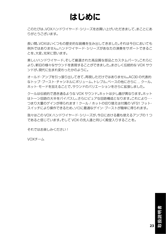### **はじめに**

このたびは、VOXハンドワイヤード・シリーズをお買い上げいただきまして、まことにあ りがとうございます。

長い間、VOXはいくつもの歴史的な銘機を生み出してきました。それは今日においても 例外ではありません。ハンドワイヤード・シリーズがあなたの演奏をサポートできるこ とを、大変、光栄に思います。

美しいハンドワイヤード、そして厳選された高品質な部品とカスタムパーツ。これらに より、新旧の様々なサウンドを表現することができました。まさしく伝統的な VOX サウ ンドが、現代に生まれ変わったかのように。

オールド・アンプを引っ張り出してきて、再現しただけではありません。AC30 の代表的 なトップ・ブースト・チャンネルにボリューム、トレブル、ベースの他にさらに ... クール、 ホット・モードを加えることで、サウンドのバリエーションをさらに拡張しました。

クールは伝統的で透き通るような VOX サウンド。ホットは少し趣が異なります。ホット はトーン回路の大半をバイパスし、さらにピュアな回路構成となります。これにより・・・ つまり大量のゲインが得られます!クール / ホットの切り替えは付属の VFS1 フット・ スイッチにより操作できるため、ソロに最適なゲイン・ブーストが簡単に得られます。

我々はこの VOX ハンドワイヤード・シリーズが、今日における最も使えるアンプの 1 つ であると信じています。そして VOX の先人達と同じく殿堂入りすることを。

それではお楽しみください!

VOXチーム

**23**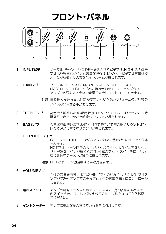### **フロント・パネル**



- 1. INPUT端子 ノーマル・チャンネルにギターを入力する端子です。HIGH 入力端子 ではより豊富なゲインと音量が得られ、LOW入力端子では音量は控 え目ながらもより大きなヘッドルームが得られます。
- 2. GAINノブ ノーマル・チャンネルのボリュームをコントロールします。 MASTER VOLUMEノブとの組み合わせで、プリアンプやパワー・ アンプでの歪み方と全体の音量が完全にコントロールできます。
	- 注意 電源投入後数分間は回路が安定しないため、ボリュームのガリ等の ノイズが発生する事があります。
- 3. TREBLEノブ 高音域を調整します。反時計回りでソフトでスムーズなサウンド、時 計回りできらびやかで明瞭なサウンドが得られます。
- 4. BASSノブ 低音域を調整します。反時計回りで軽やかで線の細いサウンド、時計 回りで暖かく重厚なサウンドが得られます。
- 5. HOT/COOLスイッチ COOLでは、TREBLE/BASSノブの効いた昔ながらのサウンドが得 られます。 HOTでは、トーン回路の大半がバイパスされ、よりピュアなサウン ドと豊富なゲインが得られます。付属のフット・スイッチにより、ソ ロに最適なブーストが簡単に得られます。

注意 HOTではトーン回路はほとんど効きません。

#### 6. VOLUMEノブ

- 全体の音量を調整します。GAINノブとの組み合わせにより、プリア ンプ/パワー・アンプでの歪み方と全体の音量を完全にコントロール できます。
- 7. 電源スイッチ アンプの電源をオンまたはオフにします。本機を移動するときは、こ のスイッチをオフにした後、すべてのケーブルを抜いてから移動し てください。
- 8. インジケーター アンプに電源が投入されている場合に点灯します。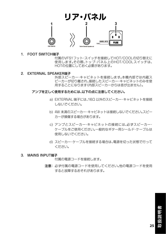

1. FOOT SWITCH端子

付属のVFS1フット・スイッチを接続してHOT/COOLの切り替えに 使用します。その際、トップ・パネル上のHOT/COOLスイッチは、 HOTの位置にしておく必要があります。

2. EXTERNAL SPEAKER端子

外部スピーカー・キャビネットを接続します。本機内部では内蔵ス ピーカーが切り離され、接続したスピーカー・キャビネットのみを使 用することになります(内部スピーカーからは音が出ません)。

### アンプを正しく使用するためには、以下の点に注意してください。

- a) EXTERNAL 端子には、16Ω 以外のスピーカー・キャビネットを接続 しないでください。
- b) 4W 未満のスピーカー・キャビネットは接続しないでください。スピー カーが損傷する場合があります。
- c) アンプとスピーカー・キャビネットの接続には、必ずスピーカー・ ケーブルをご使用ください。一般的なギター用シールド・ケーブルは 使用しないでください。
- d) スピーカー・ケーブルを接続する場合は、電源を切った状態で行って ください。

### 3. MAINS INPUT端子

付属の電源コードを接続します。

注意: 必ず付属の電源コードを使用してください。他の電源コードを使用 すると故障するおそれがあります。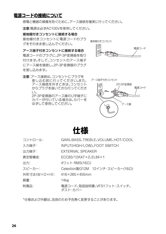### **電源コードの接続について**

感電と機器の損傷を防ぐために、アース接続を確実に行ってください。

注意:電源は必ずAC100Vを使用してください。

接地極付きコンセントに接続する場合

接地極付きコンセントに電源コードのプラ グをそのまま差し込んでください。

アース端子付きコンセントに接続する場合 電源コードのプラグに、2P-3P変換器を取り 付けます。そして、コンセントのアース端子 にアース線を接続し、2P-3P変換器のプラグ を差し込みます。

注意:アース接続は、コンセントにプラグを 差し込む前に行ってください。また、 アース接続を外すときは、コンセント からプラグを抜いてから行ってくださ い。 2P-3P変換器のアース線のU字端子に カバーが付いている場合は、カバーを はずして使用してください。



アース端子付きコンセント





| コントロール:      | GAIN, BASS, TREBLE, VOLUME, HOT/COOL    |  |  |  |  |
|--------------|-----------------------------------------|--|--|--|--|
| 入力端子:        | INPUT(HIGH/LOW)、FOOT SWITCH             |  |  |  |  |
| 出力端子:        | EXTERNAL SPEAKER                        |  |  |  |  |
| 真空管構成:       | $ECC83/12AX7\times 2$ , EL84 $\times$ 1 |  |  |  |  |
| 出力:          | 4ワット RMS(16Ω)                           |  |  |  |  |
| スピーカー:       | Celestion製G12M 12インチ・スピーカー(16Ω)         |  |  |  |  |
| 外形寸法(W×D×H): | $416\times$ 265 $\times$ 455 mm         |  |  |  |  |
| 質量:          | 14 <sub>kg</sub>                        |  |  |  |  |
| 附属品:         | 電源コード、取扱説明書、VFS1フット・スイッチ、<br>ダスト・カバー    |  |  |  |  |
|              |                                         |  |  |  |  |

\*仕様および外観は、改良のため予告無く変更することがあります。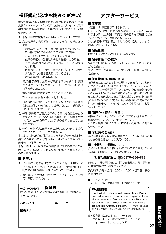### **保証規定(必ずお読みください)**

本保証書は、保証期間中に本製品を保証するもので、付属 品類(ヘッドホンなど)は保証の対象になりません。保証 期間内に本製品が故障した場合は、保証規定によって無 償修理いたします。

- 1. 本保証書の有効期間はお買い上げ日より1ケ年です。
- 2. 次の修理等は保証期間内であっても有料修理となり ます。
	- ・消耗部品(スピーカー、真空管、電池など)の交換。
	- ・お取扱い方法が不適当のために生じた故障。
	- ・天災(火災、浸水等)によって生じた故障。
	- ・故障の原因が本製品以外の他の機器にある場合。
	- ・不当な改造、調整、部品交換などにより生じた故障ま たは損傷。
	- ・保証書にお買い上げ日、販売店名が未記入の場合、 または字句が書き替えられている場合。
	- ・本保証書の提示がない場合。

尚、当社が修理した部分が再度故障した場合は、保証 期間外であっても、修理した日より3ケ月以内に限り 無償修理いたします。

3. 本保証書は日本国内においてのみ有効です。

This warranty is valid only in Japan.

- 4. お客様が保証期間中に移転された場合でも、保証は引 き続きお使いいただけます。詳しくは、お客様相談窓 口へお問い合わせください。
- 5. 修理、運送費用が製品の価格より高くなることもあり ますので、あらかじめお客様相談窓口へご相談くださ い。発送にかかる費用は、お客様の負担とさせていた だきます。
- 6. 修理中の代替品、商品の貸し出し等は、いかなる場合 においても一切行っておりません。

本製品の故障、または使用上生じたお客様の直接、間接の 損傷につきましては、弊社はいっさいの責任を負いかね ますのでご了承ください。

本保証書は、保証規定により無料修理をお約束するため のもので、これよりお客様の法律上の権利を制限するも のではありません。

#### ■ お願い

- 1. 保証書に販売年月日等の記入がない場合は無効とな ります。記入できないときは、お買い上げ年月日を証 明できる領収書等と一緒に保管してください。
- 2. 保証書は再発行致しませんので、紛失しないように大 切に保管してください。

### VOX AC4HW1 **保証書**

本保証書は、上記の保証規定により無料修理をお約束 するものです。

| お買い上げ日 | 年 | 月 | A |
|--------|---|---|---|
| 販売店名   |   |   |   |

### **アフターサービス**

#### ■ 保証書

本製品には、保証書が添付されています。 お買い求めの際に、販売店が所定事項を記入いたします ので、「お買い上げ日」、「販売店」等の記入をご確認くださ い。記入がないものは無効となります。 なお、保証書は再発行致しませんので、紛失しないように

■ 保証期間

お買い上げいただいた日より一年間です。

#### ■ 保証期間中の修理

大切に保管してください。

保証規定に基づいて修理いたします。詳しくは保証書を ご覧ください。 本製品と共に保証書を必ずご持参の上、修理を依頼して ください。

#### ■ 保証期間経過後の修理

修理することによって性能が維持できる場合は、お客様 のご要望により、有料で修理させていただきます。ただ し、補修用性能部品(電子回路などのように機能維持のた めに必要な部品)の入手が困難な場合は、修理をお受けす ることができませんのでご了承ください。また、外装部品 (パネルなど)の修理、交換は、類似の代替品を使用するこ ともありますので、あらかじめお客様相談窓口へお問い 合わせください。

#### ■ 修理を依頼される前に

故障かな?とお思いになったら、まず取扱説明書をよく お読みのうえ、もう一度ご確認ください。 それでも異常があるときは、お客様相談窓口へお問い合 わせください。

#### ■ 修理時のお願い

修理に出す際は、輸送時の損傷等を防ぐため、ご購入され たときの箱と梱包材をご使用ください。

### ■ ご質問、ご相談について

修理および商品のお取り扱いについてのご質問、ご相談 は、お客様相談窓口へお問い合わせください。

### お客様相談窓口 ■ 0570-666-569

PHS 等一部の電話ではご利用できません。固定電話ま たは携帯電話からおかけください。

受付時間 月曜~金曜 10:00 ~ 17:00 (祝祭日、窓口 休業日を除く)

●サービス・センター: 〒 168 ー 0073 東京都杉並区下高井戸 1-15-12

#### **WARNING**!

This Product is only suitable for sale in Japan. Properly qualified service is not available for this product if purchased elsewhere. Any unauthorised modification or removal of original serial number will disqualify this product from warranty protection. (この英文は日本国 内で購入された外国人のお客様のための注意事項です)

輸入販売元: KORG Import Division 〒206-0812 東京都稲城市矢野口4015-2 http://www.korg.co.jp/KID/

**27**